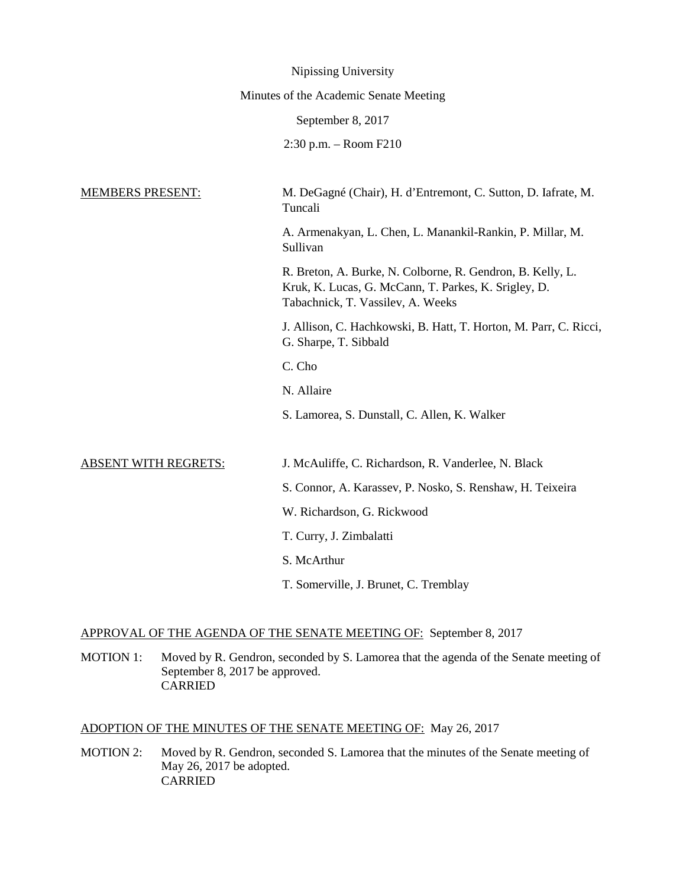|                                        | Nipissing University                                                                                                                                    |
|----------------------------------------|---------------------------------------------------------------------------------------------------------------------------------------------------------|
| Minutes of the Academic Senate Meeting |                                                                                                                                                         |
|                                        | September 8, 2017                                                                                                                                       |
|                                        | $2:30$ p.m. $-$ Room F210                                                                                                                               |
|                                        |                                                                                                                                                         |
| <b>MEMBERS PRESENT:</b>                | M. DeGagné (Chair), H. d'Entremont, C. Sutton, D. Iafrate, M.<br>Tuncali                                                                                |
|                                        | A. Armenakyan, L. Chen, L. Manankil-Rankin, P. Millar, M.<br>Sullivan                                                                                   |
|                                        | R. Breton, A. Burke, N. Colborne, R. Gendron, B. Kelly, L.<br>Kruk, K. Lucas, G. McCann, T. Parkes, K. Srigley, D.<br>Tabachnick, T. Vassilev, A. Weeks |
|                                        | J. Allison, C. Hachkowski, B. Hatt, T. Horton, M. Parr, C. Ricci,<br>G. Sharpe, T. Sibbald                                                              |
|                                        | C. Cho                                                                                                                                                  |
|                                        | N. Allaire                                                                                                                                              |
|                                        | S. Lamorea, S. Dunstall, C. Allen, K. Walker                                                                                                            |
|                                        |                                                                                                                                                         |
| <b>ABSENT WITH REGRETS:</b>            | J. McAuliffe, C. Richardson, R. Vanderlee, N. Black                                                                                                     |
|                                        | S. Connor, A. Karassev, P. Nosko, S. Renshaw, H. Teixeira                                                                                               |
|                                        | W. Richardson, G. Rickwood                                                                                                                              |
|                                        | T. Curry, J. Zimbalatti                                                                                                                                 |
|                                        | S. McArthur                                                                                                                                             |
|                                        | T. Somerville, J. Brunet, C. Tremblay                                                                                                                   |
|                                        |                                                                                                                                                         |

# APPROVAL OF THE AGENDA OF THE SENATE MEETING OF: September 8, 2017

MOTION 1: Moved by R. Gendron, seconded by S. Lamorea that the agenda of the Senate meeting of September 8, 2017 be approved. CARRIED

# ADOPTION OF THE MINUTES OF THE SENATE MEETING OF: May 26, 2017

MOTION 2: Moved by R. Gendron, seconded S. Lamorea that the minutes of the Senate meeting of May 26, 2017 be adopted. CARRIED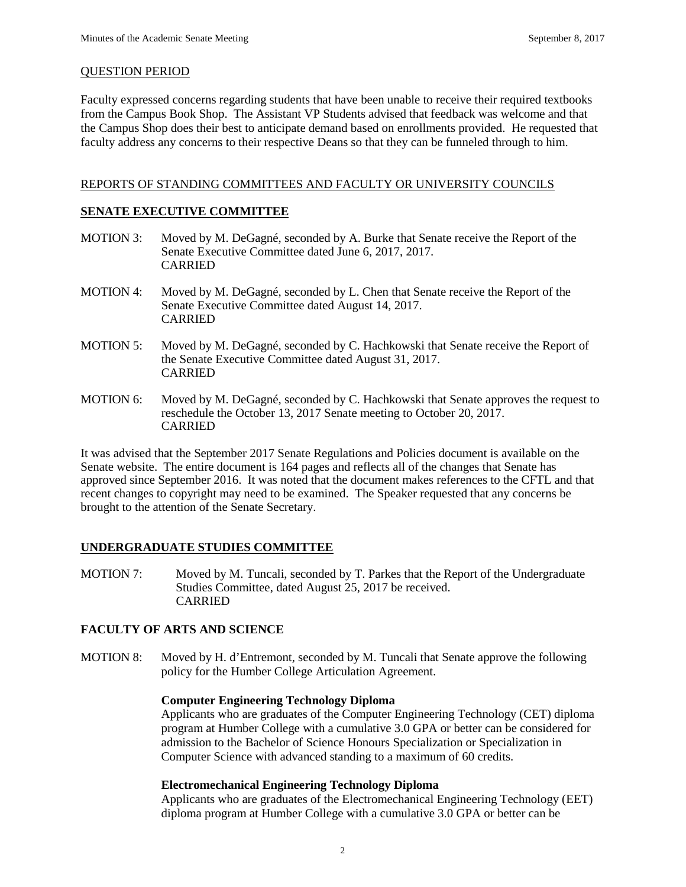#### QUESTION PERIOD

Faculty expressed concerns regarding students that have been unable to receive their required textbooks from the Campus Book Shop. The Assistant VP Students advised that feedback was welcome and that the Campus Shop does their best to anticipate demand based on enrollments provided. He requested that faculty address any concerns to their respective Deans so that they can be funneled through to him.

## REPORTS OF STANDING COMMITTEES AND FACULTY OR UNIVERSITY COUNCILS

## **SENATE EXECUTIVE COMMITTEE**

- MOTION 3: Moved by M. DeGagné, seconded by A. Burke that Senate receive the Report of the Senate Executive Committee dated June 6, 2017, 2017. CARRIED
- MOTION 4: Moved by M. DeGagné, seconded by L. Chen that Senate receive the Report of the Senate Executive Committee dated August 14, 2017. CARRIED
- MOTION 5: Moved by M. DeGagné, seconded by C. Hachkowski that Senate receive the Report of the Senate Executive Committee dated August 31, 2017. CARRIED
- MOTION 6: Moved by M. DeGagné, seconded by C. Hachkowski that Senate approves the request to reschedule the October 13, 2017 Senate meeting to October 20, 2017. CARRIED

It was advised that the September 2017 Senate Regulations and Policies document is available on the Senate website. The entire document is 164 pages and reflects all of the changes that Senate has approved since September 2016. It was noted that the document makes references to the CFTL and that recent changes to copyright may need to be examined. The Speaker requested that any concerns be brought to the attention of the Senate Secretary.

# **UNDERGRADUATE STUDIES COMMITTEE**

MOTION 7: Moved by M. Tuncali, seconded by T. Parkes that the Report of the Undergraduate Studies Committee, dated August 25, 2017 be received. CARRIED

# **FACULTY OF ARTS AND SCIENCE**

MOTION 8: Moved by H. d'Entremont, seconded by M. Tuncali that Senate approve the following policy for the Humber College Articulation Agreement.

#### **Computer Engineering Technology Diploma**

Applicants who are graduates of the Computer Engineering Technology (CET) diploma program at Humber College with a cumulative 3.0 GPA or better can be considered for admission to the Bachelor of Science Honours Specialization or Specialization in Computer Science with advanced standing to a maximum of 60 credits.

#### **Electromechanical Engineering Technology Diploma**

Applicants who are graduates of the Electromechanical Engineering Technology (EET) diploma program at Humber College with a cumulative 3.0 GPA or better can be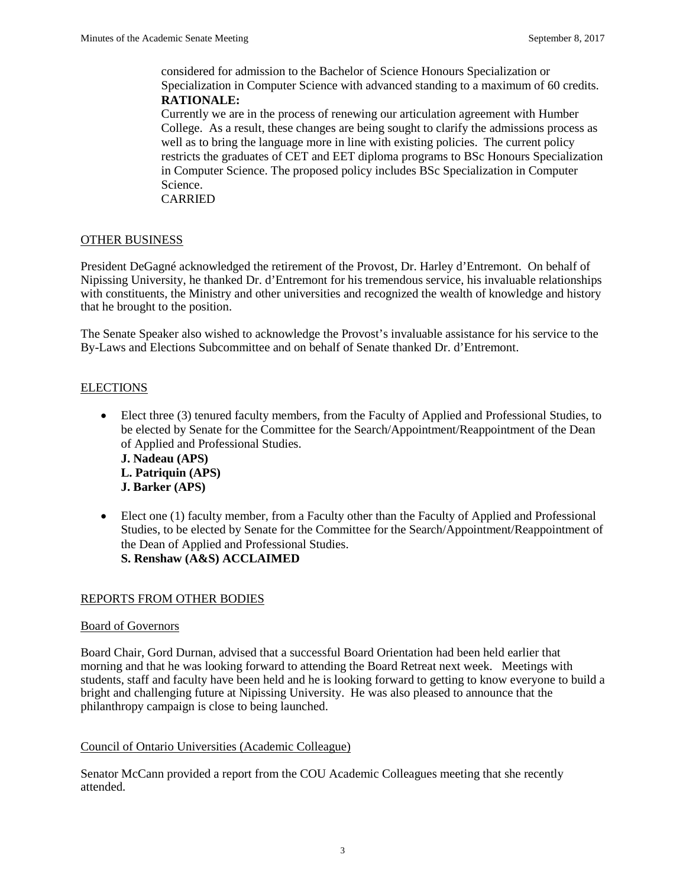considered for admission to the Bachelor of Science Honours Specialization or Specialization in Computer Science with advanced standing to a maximum of 60 credits. **RATIONALE:**

Currently we are in the process of renewing our articulation agreement with Humber College. As a result, these changes are being sought to clarify the admissions process as well as to bring the language more in line with existing policies. The current policy restricts the graduates of CET and EET diploma programs to BSc Honours Specialization in Computer Science. The proposed policy includes BSc Specialization in Computer Science.

CARRIED

#### OTHER BUSINESS

President DeGagné acknowledged the retirement of the Provost, Dr. Harley d'Entremont. On behalf of Nipissing University, he thanked Dr. d'Entremont for his tremendous service, his invaluable relationships with constituents, the Ministry and other universities and recognized the wealth of knowledge and history that he brought to the position.

The Senate Speaker also wished to acknowledge the Provost's invaluable assistance for his service to the By-Laws and Elections Subcommittee and on behalf of Senate thanked Dr. d'Entremont.

### ELECTIONS

• Elect three (3) tenured faculty members, from the Faculty of Applied and Professional Studies, to be elected by Senate for the Committee for the Search/Appointment/Reappointment of the Dean of Applied and Professional Studies.

**J. Nadeau (APS) L. Patriquin (APS) J. Barker (APS)**

• Elect one (1) faculty member, from a Faculty other than the Faculty of Applied and Professional Studies, to be elected by Senate for the Committee for the Search/Appointment/Reappointment of the Dean of Applied and Professional Studies. **S. Renshaw (A&S) ACCLAIMED**

#### REPORTS FROM OTHER BODIES

#### Board of Governors

Board Chair, Gord Durnan, advised that a successful Board Orientation had been held earlier that morning and that he was looking forward to attending the Board Retreat next week. Meetings with students, staff and faculty have been held and he is looking forward to getting to know everyone to build a bright and challenging future at Nipissing University. He was also pleased to announce that the philanthropy campaign is close to being launched.

#### Council of Ontario Universities (Academic Colleague)

Senator McCann provided a report from the COU Academic Colleagues meeting that she recently attended.